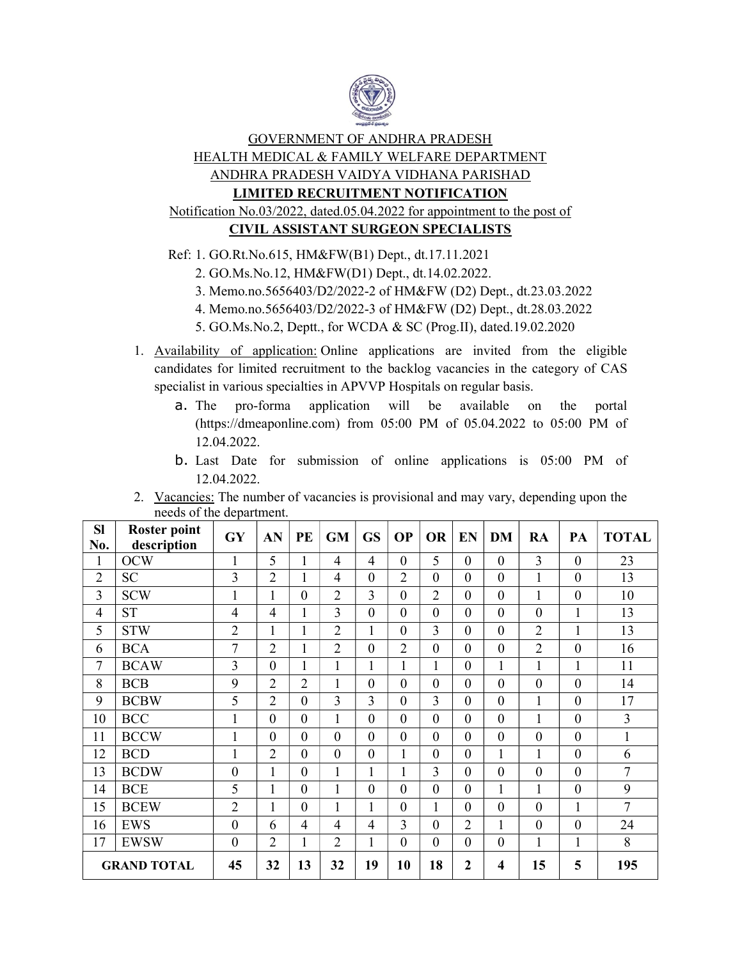

# GOVERNMENT OF ANDHRA PRADESH HEALTH MEDICAL & FAMILY WELFARE DEPARTMENT ANDHRA PRADESH VAIDYA VIDHANA PARISHAD LIMITED RECRUITMENT NOTIFICATION Notification No.03/2022, dated.05.04.2022 for appointment to the post of CIVIL ASSISTANT SURGEON SPECIALISTS

Ref: 1. GO.Rt.No.615, HM&FW(B1) Dept., dt.17.11.2021

- 2. GO.Ms.No.12, HM&FW(D1) Dept., dt.14.02.2022.
- 3. Memo.no.5656403/D2/2022-2 of HM&FW (D2) Dept., dt.23.03.2022
- 4. Memo.no.5656403/D2/2022-3 of HM&FW (D2) Dept., dt.28.03.2022
- 5. GO.Ms.No.2, Deptt., for WCDA & SC (Prog.II), dated.19.02.2020
- 1. Availability of application: Online applications are invited from the eligible candidates for limited recruitment to the backlog vacancies in the category of CAS specialist in various specialties in APVVP Hospitals on regular basis.
	- a. The pro-forma application will be available on the portal (https://dmeaponline.com) from 05:00 PM of 05.04.2022 to 05:00 PM of 12.04.2022.
	- b. Last Date for submission of online applications is 05:00 PM of 12.04.2022.
- 2. Vacancies: The number of vacancies is provisional and may vary, depending upon the needs of the department.

| <b>Sl</b><br>No.   | <b>Roster point</b><br>description | GY               | AN             | PE             | <b>GM</b>      | <b>GS</b>      | <b>OP</b>        | <b>OR</b>        | <b>EN</b>        | DM               | RA             | PA               | <b>TOTAL</b> |
|--------------------|------------------------------------|------------------|----------------|----------------|----------------|----------------|------------------|------------------|------------------|------------------|----------------|------------------|--------------|
| 1                  | <b>OCW</b>                         | $\mathbf{1}$     | 5              |                | $\overline{4}$ | $\overline{4}$ | $\overline{0}$   | 5                | $\boldsymbol{0}$ | $\boldsymbol{0}$ | 3              | $\mathbf{0}$     | 23           |
| $\overline{2}$     | <b>SC</b>                          | 3                | $\overline{2}$ | 1              | $\overline{4}$ | $\overline{0}$ | $\overline{2}$   | $\overline{0}$   | $\overline{0}$   | $\overline{0}$   | $\mathbf{1}$   | $\mathbf{0}$     | 13           |
| 3                  | <b>SCW</b>                         | 1                | 1              | $\overline{0}$ | $\overline{2}$ | 3              | $\overline{0}$   | $\overline{2}$   | $\boldsymbol{0}$ | $\overline{0}$   | 1              | $\overline{0}$   | 10           |
| $\overline{4}$     | <b>ST</b>                          | 4                | $\overline{4}$ |                | 3              | $\overline{0}$ | $\boldsymbol{0}$ | $\boldsymbol{0}$ | $\overline{0}$   | $\boldsymbol{0}$ | $\overline{0}$ | 1                | 13           |
| 5                  | <b>STW</b>                         | $\overline{2}$   | $\mathbf{1}$   | $\mathbf{1}$   | $\overline{2}$ | $\mathbf{1}$   | $\overline{0}$   | 3                | $\boldsymbol{0}$ | $\overline{0}$   | $\overline{2}$ | $\mathbf{1}$     | 13           |
| 6                  | <b>BCA</b>                         | 7                | $\overline{2}$ | 1              | $\overline{2}$ | $\overline{0}$ | $\overline{2}$   | $\overline{0}$   | $\overline{0}$   | $\boldsymbol{0}$ | $\overline{2}$ | $\mathbf{0}$     | 16           |
| 7                  | <b>BCAW</b>                        | 3                | $\theta$       | $\mathbf{1}$   | $\mathbf{1}$   | $\mathbf{1}$   | $\mathbf{1}$     | 1                | $\boldsymbol{0}$ | $\mathbf{1}$     | $\mathbf{1}$   | 1                | 11           |
| 8                  | <b>BCB</b>                         | 9                | $\overline{2}$ | $\overline{2}$ | $\mathbf{1}$   | $\overline{0}$ | $\overline{0}$   | $\boldsymbol{0}$ | $\boldsymbol{0}$ | $\mathbf{0}$     | $\overline{0}$ | $\overline{0}$   | 14           |
| 9                  | <b>BCBW</b>                        | 5                | $\overline{2}$ | $\theta$       | 3              | 3              | $\overline{0}$   | 3                | $\mathbf{0}$     | $\overline{0}$   | $\mathbf{1}$   | $\mathbf{0}$     | 17           |
| 10                 | <b>BCC</b>                         | 1                | $\overline{0}$ | $\Omega$       |                | $\overline{0}$ | $\overline{0}$   | 0                | $\boldsymbol{0}$ | $\boldsymbol{0}$ | 1              | $\overline{0}$   | 3            |
| 11                 | <b>BCCW</b>                        | $\mathbf{1}$     | $\overline{0}$ | $\mathbf{0}$   | $\overline{0}$ | $\overline{0}$ | $\overline{0}$   | $\overline{0}$   | $\overline{0}$   | $\overline{0}$   | $\overline{0}$ | $\overline{0}$   | $\mathbf{1}$ |
| 12                 | <b>BCD</b>                         |                  | $\overline{2}$ | $\theta$       | $\overline{0}$ | $\overline{0}$ | $\mathbf{1}$     | $\theta$         | $\mathbf{0}$     | $\mathbf 1$      | $\mathbf{1}$   | $\mathbf{0}$     | 6            |
| 13                 | <b>BCDW</b>                        | $\boldsymbol{0}$ | 1              | $\Omega$       | $\mathbf{1}$   | 1              | 1                | 3                | $\boldsymbol{0}$ | $\boldsymbol{0}$ | $\mathbf{0}$   | $\overline{0}$   | 7            |
| 14                 | <b>BCE</b>                         | 5                | 1              | $\mathbf{0}$   | $\mathbf{1}$   | $\overline{0}$ | $\overline{0}$   | $\overline{0}$   | $\overline{0}$   | $\mathbf{1}$     | $\mathbf{1}$   | $\overline{0}$   | 9            |
| 15                 | <b>BCEW</b>                        | $\overline{2}$   | $\mathbf{1}$   | $\theta$       | $\mathbf{1}$   | $\mathbf{1}$   | $\overline{0}$   | $\mathbf{1}$     | $\boldsymbol{0}$ | $\overline{0}$   | $\overline{0}$ | $\mathbf{1}$     | 7            |
| 16                 | <b>EWS</b>                         | $\boldsymbol{0}$ | 6              | 4              | $\overline{4}$ | $\overline{4}$ | 3                | $\boldsymbol{0}$ | 2                | $\mathbf 1$      | $\mathbf{0}$   | $\boldsymbol{0}$ | 24           |
| 17                 | <b>EWSW</b>                        | $\boldsymbol{0}$ | $\overline{2}$ | 1              | $\overline{2}$ | 1              | $\boldsymbol{0}$ | $\boldsymbol{0}$ | $\boldsymbol{0}$ | $\boldsymbol{0}$ | 1              | 1                | 8            |
| <b>GRAND TOTAL</b> |                                    | 45               | 32             | 13             | 32             | 19             | 10               | 18               | $\overline{2}$   | 4                | 15             | 5                | 195          |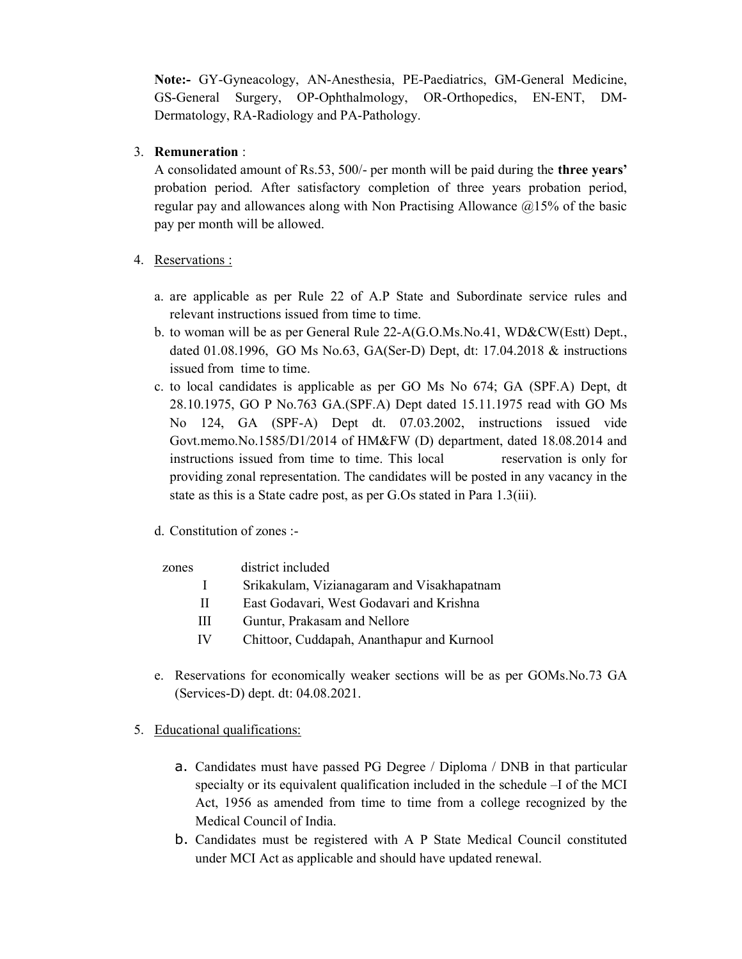Note:- GY-Gyneacology, AN-Anesthesia, PE-Paediatrics, GM-General Medicine, GS-General Surgery, OP-Ophthalmology, OR-Orthopedics, EN-ENT, DM-Dermatology, RA-Radiology and PA-Pathology.

### 3. Remuneration :

A consolidated amount of Rs.53, 500/- per month will be paid during the three years' probation period. After satisfactory completion of three years probation period, regular pay and allowances along with Non Practising Allowance  $\omega$ 15% of the basic pay per month will be allowed.

### 4. Reservations :

- a. are applicable as per Rule 22 of A.P State and Subordinate service rules and relevant instructions issued from time to time.
- b. to woman will be as per General Rule 22-A(G.O.Ms.No.41, WD&CW(Estt) Dept., dated 01.08.1996, GO Ms No.63, GA(Ser-D) Dept, dt: 17.04.2018 & instructions issued from time to time.
- c. to local candidates is applicable as per GO Ms No 674; GA (SPF.A) Dept, dt 28.10.1975, GO P No.763 GA.(SPF.A) Dept dated 15.11.1975 read with GO Ms No 124, GA (SPF-A) Dept dt. 07.03.2002, instructions issued vide Govt.memo.No.1585/D1/2014 of HM&FW (D) department, dated 18.08.2014 and instructions issued from time to time. This local reservation is only for providing zonal representation. The candidates will be posted in any vacancy in the state as this is a State cadre post, as per G.Os stated in Para 1.3(iii).

### d. Constitution of zones :-

#### zones district included

- I Srikakulam, Vizianagaram and Visakhapatnam
- II East Godavari, West Godavari and Krishna
- III Guntur, Prakasam and Nellore
- IV Chittoor, Cuddapah, Ananthapur and Kurnool
- e. Reservations for economically weaker sections will be as per GOMs.No.73 GA (Services-D) dept. dt: 04.08.2021.
- 5. Educational qualifications:
	- a. Candidates must have passed PG Degree / Diploma / DNB in that particular specialty or its equivalent qualification included in the schedule –I of the MCI Act, 1956 as amended from time to time from a college recognized by the Medical Council of India.
	- b. Candidates must be registered with A P State Medical Council constituted under MCI Act as applicable and should have updated renewal.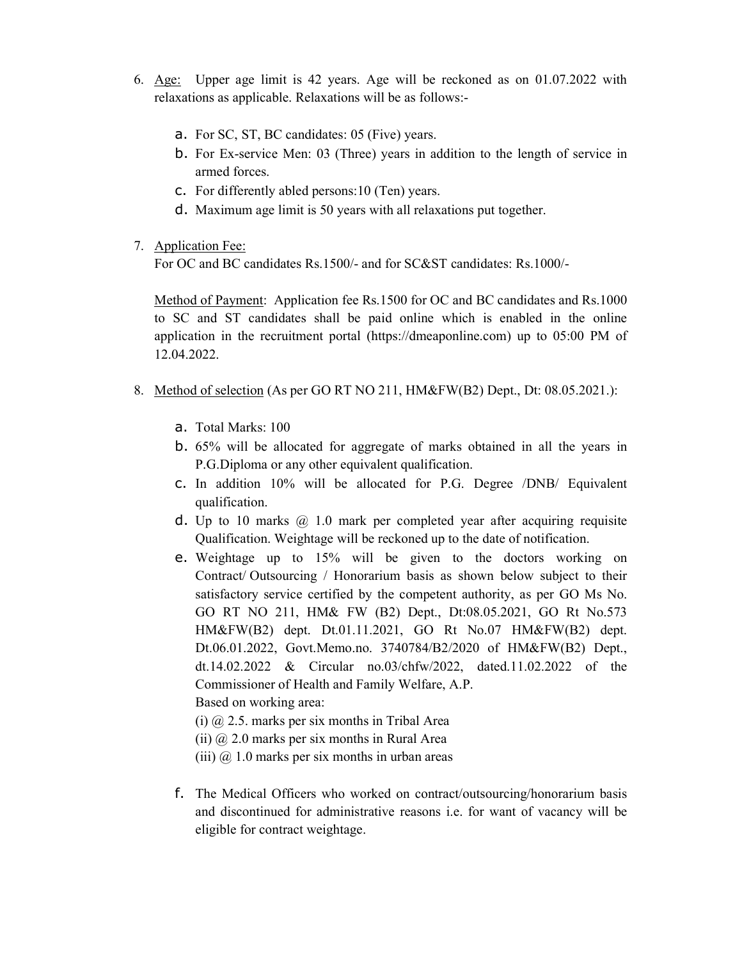- 6. Age: Upper age limit is 42 years. Age will be reckoned as on 01.07.2022 with relaxations as applicable. Relaxations will be as follows:
	- a. For SC, ST, BC candidates: 05 (Five) years.
	- b. For Ex-service Men: 03 (Three) years in addition to the length of service in armed forces.
	- c. For differently abled persons:10 (Ten) years.
	- d. Maximum age limit is 50 years with all relaxations put together.
- 7. Application Fee:

For OC and BC candidates Rs.1500/- and for SC&ST candidates: Rs.1000/-

Method of Payment: Application fee Rs.1500 for OC and BC candidates and Rs.1000 to SC and ST candidates shall be paid online which is enabled in the online application in the recruitment portal (https://dmeaponline.com) up to 05:00 PM of 12.04.2022.

- 8. Method of selection (As per GO RT NO 211, HM&FW(B2) Dept., Dt: 08.05.2021.):
	- a. Total Marks: 100
	- b. 65% will be allocated for aggregate of marks obtained in all the years in P.G.Diploma or any other equivalent qualification.
	- c. In addition 10% will be allocated for P.G. Degree /DNB/ Equivalent qualification.
	- d. Up to 10 marks  $\omega$  1.0 mark per completed year after acquiring requisite Qualification. Weightage will be reckoned up to the date of notification.
	- e. Weightage up to 15% will be given to the doctors working on Contract/ Outsourcing / Honorarium basis as shown below subject to their satisfactory service certified by the competent authority, as per GO Ms No. GO RT NO 211, HM& FW (B2) Dept., Dt:08.05.2021, GO Rt No.573 HM&FW(B2) dept. Dt.01.11.2021, GO Rt No.07 HM&FW(B2) dept. Dt.06.01.2022, Govt.Memo.no. 3740784/B2/2020 of HM&FW(B2) Dept., dt.14.02.2022 & Circular no.03/chfw/2022, dated.11.02.2022 of the Commissioner of Health and Family Welfare, A.P.

Based on working area:

- (i)  $\omega$  2.5. marks per six months in Tribal Area
- (ii)  $\omega$  2.0 marks per six months in Rural Area
- (iii)  $\omega$  1.0 marks per six months in urban areas
- f. The Medical Officers who worked on contract/outsourcing/honorarium basis and discontinued for administrative reasons i.e. for want of vacancy will be eligible for contract weightage.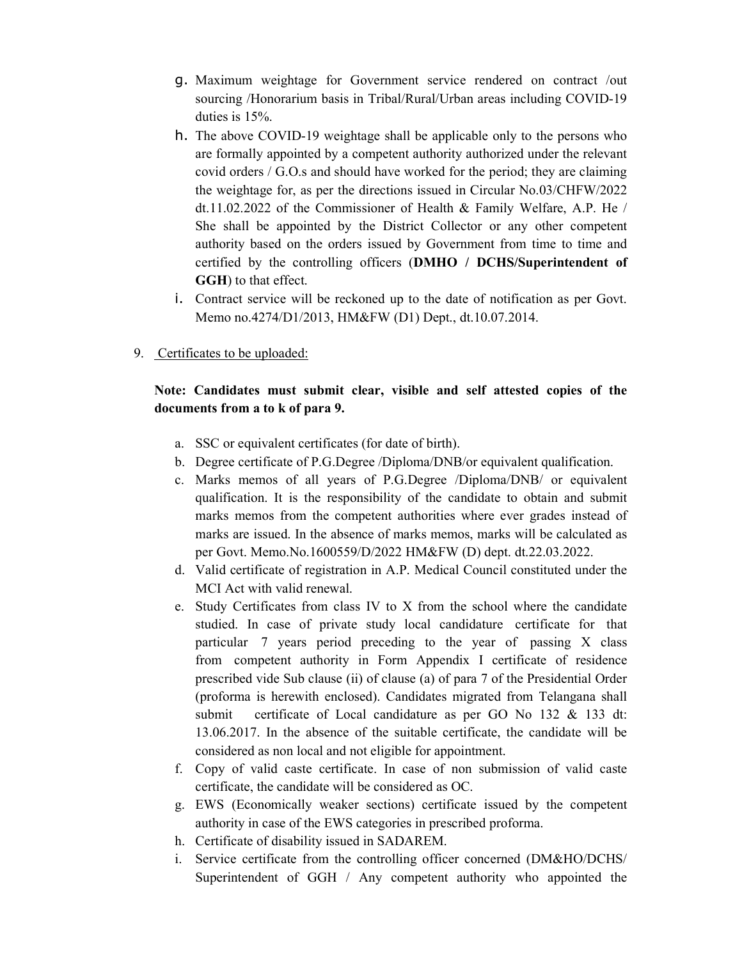- g. Maximum weightage for Government service rendered on contract /out sourcing /Honorarium basis in Tribal/Rural/Urban areas including COVID-19 duties is 15%.
- h. The above COVID-19 weightage shall be applicable only to the persons who are formally appointed by a competent authority authorized under the relevant covid orders / G.O.s and should have worked for the period; they are claiming the weightage for, as per the directions issued in Circular No.03/CHFW/2022 dt.11.02.2022 of the Commissioner of Health & Family Welfare, A.P. He / She shall be appointed by the District Collector or any other competent authority based on the orders issued by Government from time to time and certified by the controlling officers (DMHO / DCHS/Superintendent of GGH) to that effect.
- i. Contract service will be reckoned up to the date of notification as per Govt. Memo no.4274/D1/2013, HM&FW (D1) Dept., dt.10.07.2014.
- 9. Certificates to be uploaded:

## Note: Candidates must submit clear, visible and self attested copies of the documents from a to k of para 9.

- a. SSC or equivalent certificates (for date of birth).
- b. Degree certificate of P.G.Degree /Diploma/DNB/or equivalent qualification.
- c. Marks memos of all years of P.G.Degree /Diploma/DNB/ or equivalent qualification. It is the responsibility of the candidate to obtain and submit marks memos from the competent authorities where ever grades instead of marks are issued. In the absence of marks memos, marks will be calculated as per Govt. Memo.No.1600559/D/2022 HM&FW (D) dept. dt.22.03.2022.
- d. Valid certificate of registration in A.P. Medical Council constituted under the MCI Act with valid renewal.
- e. Study Certificates from class IV to X from the school where the candidate studied. In case of private study local candidature certificate for that particular 7 years period preceding to the year of passing X class from competent authority in Form Appendix I certificate of residence prescribed vide Sub clause (ii) of clause (a) of para 7 of the Presidential Order (proforma is herewith enclosed). Candidates migrated from Telangana shall submit certificate of Local candidature as per GO No 132 & 133 dt: 13.06.2017. In the absence of the suitable certificate, the candidate will be considered as non local and not eligible for appointment.
- f. Copy of valid caste certificate. In case of non submission of valid caste certificate, the candidate will be considered as OC.
- g. EWS (Economically weaker sections) certificate issued by the competent authority in case of the EWS categories in prescribed proforma.
- h. Certificate of disability issued in SADAREM.
- i. Service certificate from the controlling officer concerned (DM&HO/DCHS/ Superintendent of GGH / Any competent authority who appointed the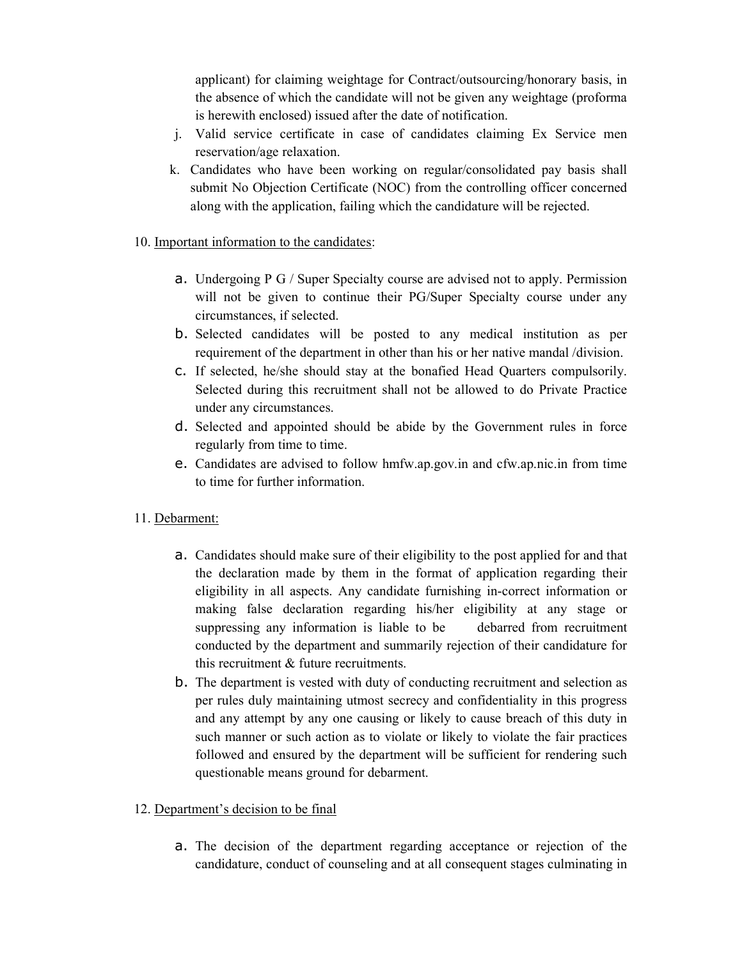applicant) for claiming weightage for Contract/outsourcing/honorary basis, in the absence of which the candidate will not be given any weightage (proforma is herewith enclosed) issued after the date of notification.

- j. Valid service certificate in case of candidates claiming Ex Service men reservation/age relaxation.
- k. Candidates who have been working on regular/consolidated pay basis shall submit No Objection Certificate (NOC) from the controlling officer concerned along with the application, failing which the candidature will be rejected.
- 10. Important information to the candidates:
	- a. Undergoing P G / Super Specialty course are advised not to apply. Permission will not be given to continue their PG/Super Specialty course under any circumstances, if selected.
	- b. Selected candidates will be posted to any medical institution as per requirement of the department in other than his or her native mandal /division.
	- c. If selected, he/she should stay at the bonafied Head Quarters compulsorily. Selected during this recruitment shall not be allowed to do Private Practice under any circumstances.
	- d. Selected and appointed should be abide by the Government rules in force regularly from time to time.
	- e. Candidates are advised to follow hmfw.ap.gov.in and cfw.ap.nic.in from time to time for further information.
- 11. Debarment:
	- a. Candidates should make sure of their eligibility to the post applied for and that the declaration made by them in the format of application regarding their eligibility in all aspects. Any candidate furnishing in-correct information or making false declaration regarding his/her eligibility at any stage or suppressing any information is liable to be debarred from recruitment conducted by the department and summarily rejection of their candidature for this recruitment & future recruitments.
	- b. The department is vested with duty of conducting recruitment and selection as per rules duly maintaining utmost secrecy and confidentiality in this progress and any attempt by any one causing or likely to cause breach of this duty in such manner or such action as to violate or likely to violate the fair practices followed and ensured by the department will be sufficient for rendering such questionable means ground for debarment.
- 12. Department's decision to be final
	- a. The decision of the department regarding acceptance or rejection of the candidature, conduct of counseling and at all consequent stages culminating in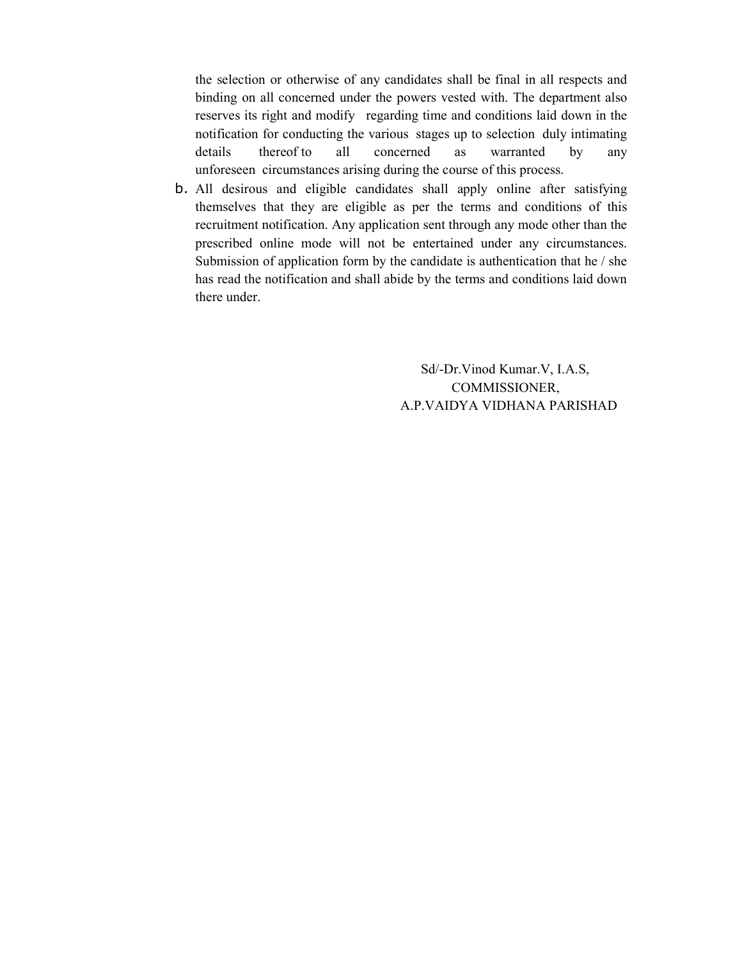the selection or otherwise of any candidates shall be final in all respects and binding on all concerned under the powers vested with. The department also reserves its right and modify regarding time and conditions laid down in the notification for conducting the various stages up to selection duly intimating details thereof to all concerned as warranted by any unforeseen circumstances arising during the course of this process.

b. All desirous and eligible candidates shall apply online after satisfying themselves that they are eligible as per the terms and conditions of this recruitment notification. Any application sent through any mode other than the prescribed online mode will not be entertained under any circumstances. Submission of application form by the candidate is authentication that he / she has read the notification and shall abide by the terms and conditions laid down there under.

> Sd/-Dr.Vinod Kumar.V, I.A.S, COMMISSIONER, A.P.VAIDYA VIDHANA PARISHAD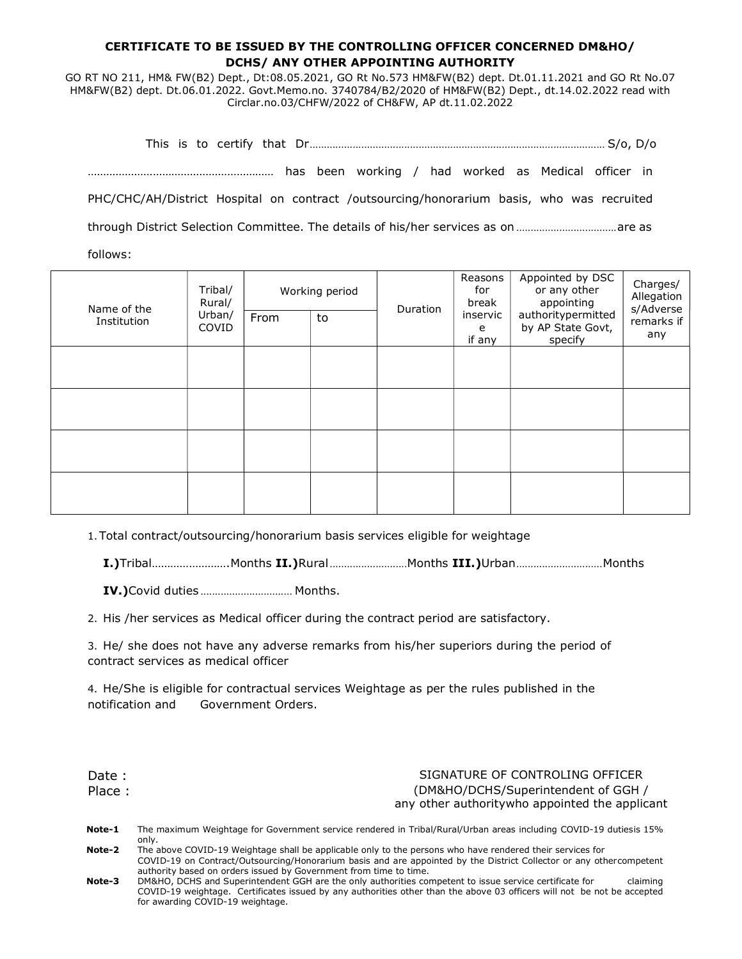#### CERTIFICATE TO BE ISSUED BY THE CONTROLLING OFFICER CONCERNED DM&HO/ DCHS/ ANY OTHER APPOINTING AUTHORITY

GO RT NO 211, HM& FW(B2) Dept., Dt:08.05.2021, GO Rt No.573 HM&FW(B2) dept. Dt.01.11.2021 and GO Rt No.07 HM&FW(B2) dept. Dt.06.01.2022. Govt.Memo.no. 3740784/B2/2020 of HM&FW(B2) Dept., dt.14.02.2022 read with Circlar.no.03/CHFW/2022 of CH&FW, AP dt.11.02.2022

This is to certify that Dr ....................................................................................................... S/o, D/o …………………………………………………… has been working / had worked as Medical officer in PHC/CHC/AH/District Hospital on contract /outsourcing/honorarium basis, who was recruited through District Selection Committee. The details of his/her services as on ................................... are as follows:

| Name of the<br>Institution | Tribal/<br>Rural/<br>Urban/<br>COVID | Working period<br>From<br>to |  | Duration | Reasons<br>for<br>break<br>inservic<br>e<br>if any | Appointed by DSC<br>or any other<br>appointing<br>authoritypermitted<br>by AP State Govt,<br>specify | Charges/<br>Allegation<br>s/Adverse<br>remarks if<br>any |
|----------------------------|--------------------------------------|------------------------------|--|----------|----------------------------------------------------|------------------------------------------------------------------------------------------------------|----------------------------------------------------------|
|                            |                                      |                              |  |          |                                                    |                                                                                                      |                                                          |
|                            |                                      |                              |  |          |                                                    |                                                                                                      |                                                          |
|                            |                                      |                              |  |          |                                                    |                                                                                                      |                                                          |
|                            |                                      |                              |  |          |                                                    |                                                                                                      |                                                          |

1.Total contract/outsourcing/honorarium basis services eligible for weightage

I.)Tribal..........................Months II.)Rural..........................Months III.)Urban............................Months

IV.)Covid duties ................................ Months.

2. His /her services as Medical officer during the contract period are satisfactory.

3. He/ she does not have any adverse remarks from his/her superiors during the period of contract services as medical officer

4. He/She is eligible for contractual services Weightage as per the rules published in the notification and Government Orders.

Date : SIGNATURE OF CONTROLING OFFICER Place : (DM&HO/DCHS/Superintendent of GGH / any other authority who appointed the applicant

| Note-1        | The maximum Weightage for Government service rendered in Tribal/Rural/Urban areas including COVID-19 dutiesis 15% |
|---------------|-------------------------------------------------------------------------------------------------------------------|
|               | only.                                                                                                             |
| <b>Note-2</b> | The above COVID 10 Weightage shall be applicable only to the persons who bays rendered their services for         |

- Note-2 The above COVID-19 Weightage shall be applicable only to the persons who have rendered their services for COVID-19 on Contract/Outsourcing/Honorarium basis and are appointed by the District Collector or any other competent authority based on orders issued by Government from time to time.
- Note-3 DM&HO, DCHS and Superintendent GGH are the only authorities competent to issue service certificate for claiming COVID-19 weightage. Certificates issued by any authorities other than the above 03 officers will not be not be accepted for awarding COVID-19 weightage.